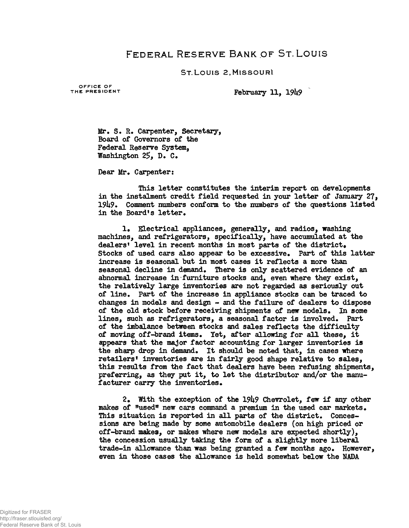## FEDERAL RESERVE BANK OF ST. LOUIS

ST.LOUIS 2,MISSOURI

OFFICE OF<br>THE PRESIDENT

**February 11, 1949** 

**Mr. S. R\* Carpenter, Secretary, Board of Governors of the Federal Reserve System, Washington 25, D. C.** 

Dear Mr. Carpenter:

**This letter constitutes the interim report on developments in the instalment credit field requested in your letter of January 27, 19^9\* Comment numbers conform to the numbers of the questions listed** in the Board's letter.

1. Electrical appliances, generally, and radios, washing **machines, and refrigerators, specifically, have accumulated at the dealers<sup>1</sup> level in recent months in most parts of the district\* Stocks of used cars also appear to be excessive\* Part of this latter increase is seasonal but in most cases it reflects a more than** seasonal decline in demand. There is only scattered evidence of an **abnormal increase in furniture stocks and, even where they exist, the relatively large inventories are not regarded as seriously out of line\* Part of the increase in appliance stocks can be traced to changes in models and design - and the failure of dealers to dispose** of the old stock before receiving shipments of new models. In some lines, such as refrigerators, a seasonal factor is involved. Part **of the imbalance between stocks and sales reflects the difficulty of moving off-brand items\* Yet, after allowing for all these, it appears that the major factor accounting for larger inventories is** the sharp drop in demand. It should be noted that, in cases where **retailers<sup>1</sup> inventories are in fairly good shape relative to sales, this results from the fact that dealers have been refusing shipments, preferring, as they put it, to let the distributor and/or the manu**facturer carry the inventories.

2. With the exception of the 1949 Chevrolet, few if any other makes of "used" new cars command a premium in the used car markets. This situation is reported in all parts of the district. Conces**sions are being made by some automobile dealers (on high priced or off-brand makes, or makes where new models are expected shortly), the concession usually taking the form of a slightly more liberal trade-in allowance than was being granted a few months ago. However, even in those cases the allowance is held somewhat below the NADA**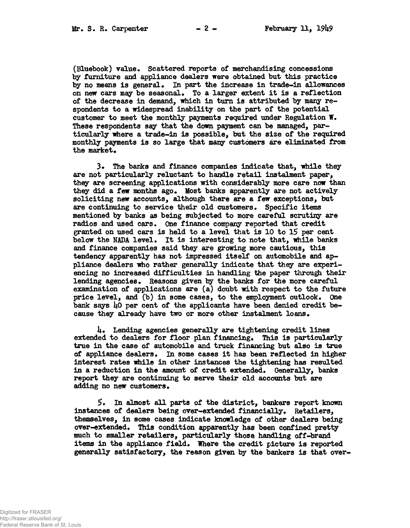**(Bluebook) value\* Scattered reports of merchandising concessions by furniture and appliance dealers were obtained but this practice by no means is general\* In part the increase in trade-in allowances on new cars may be seasonal\* To a larger extent it is a reflection of the decrease in demand, which in turn is attributed by many respondents to a widespread inability on the part of the potential customer to meet the monthly payments required under Regulation W. These respondents say that the down payment can be managed, particularly where a trade-in is possible, but the size of the required monthly payments is so large that many customers are eliminated from the market.**

**3\* The banks and finance companies indicate that, while they are not particularly reluctant to handle retail instalment paper, they are screening applications with considerably more care now than** they did a few months ago. Most banks apparently are not actively **soliciting new accounts, although there are a few exceptions, but are continuing to service their old customers. Specific items mentioned by banks as being subjected to more careful scrutiny are radios and used cars. One finance company reported that credit** granted on used cars is held to a level that is 10 to 15 per cent **below the NADA level. It is interesting to note that, while banks and finance companies said they are growing more cautious, this tendency apparently has not impressed itself on automobile and appliance dealers who rather generally indicate that they are experiencing no increased difficulties in handling the paper through their lending agencies. Reasons given by the banks for the more careful examination of applications are (a) doubt with respect to the future price level, and (b) in some cases, to the employment outlook. One** bank says 40 per cent of the applicants have been denied credit be**cause they already have two or more other instalment loans\***

**U. Lending agencies generally are tightening credit lines extended to dealers for floor plan financing. This is particularly true in the case of automobile and truck financing but also is true of appliance dealers. In some cases it has been reflected in higher interest rates nhile in other instances the tightening has resulted in a reduction in the amount of credit extended. Generally, banks report they are continuing to serve their old accounts but are** adding no new customers.

**5. In almost all parts of the district, bankers report known instances of dealers being over-extended financially. Retailers, themselves, in some cases indicate knowledge of other dealers being over-extended. This condition apparently has been confined pretty much to smaller retailers, particularly those handling off-brand** items in the appliance field. Where the credit picture is reported **generally satisfactory, the reason given by the bankers is that over-**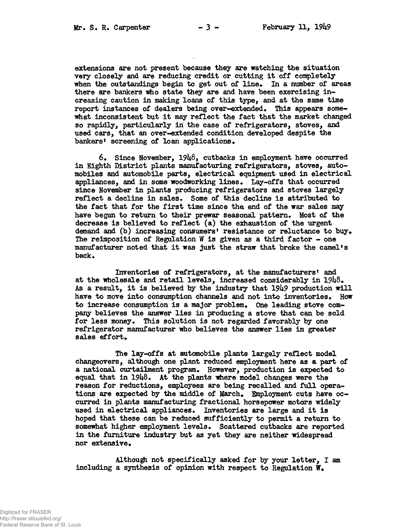**extensions are not present because they are watching the situation very closely and are reducing credit or cutting it off completely** when the outstandings begin to get out of line. In a number of areas **there are bankers who state they are and have been exercising increasing caution in making loans of this type, and at the same time report instances of dealers being over-extended. This appears somewhat inconsistent but it may reflect the fact that the market changed so rapidly, particularly in the case of refrigerators, stoves, and used cars, that an over-extended condition developed despite the bankers**<sup>*1*</sup> screening of loan applications.

**6\* Since November, 19U8, cutbacks in employment have occurred in Eighth District plants manufacturing refrigerators, stoves, automobiles and automobile parts, electrical equipment used in electrical** appliances, and in some woodworking lines. Lay-offs that occurred **since November in plants producing refrigerators and stoves largely reflect a decline in sales\* Some of this decline is attributed to the fact that for the first time since the end of the war sales may** have begun to return to their prewar seasonal pattern. Most of the **decrease is believed to reflect (a) the exhaustion of the urgent** demand and (b) increasing consumers<sup>*t*</sup> resistance or reluctance to buy. **The reimposition of Regulation W is given as a third factor - one manufacturer noted that it was just the straw that broke the camel<sup>1</sup>s** back.

**Inventories of refrigerators, at the manufacturers<sup>1</sup> and at the wholesale and retail levels, increased considerably in 19U8\* As a result, it is believed by the industry that 19k9 production will** have to move into consumption channels and not into inventories. How to increase consumption is a major problem. One leading stove com**pany believes the answer lies in producing a stove that can be sold** for less money. This solution is not regarded favorably by one **refrigerator manufacturer who believes the answer lies in greater** sales effort.

**The lay-offs at automobile plants largely reflect model changeovers, although one plant reduced employment here as a part of** a national curtailment program. However, production is expected to equal that in 1948. At the plants where model changes were the **reason for reductions, employees are being recalled and full opera**tions are expected by the middle of March. Employment cuts have oc**curred in plants manufacturing fractional horsepower motors widely** used in electrical appliances. Inventories are large and it is **hoped that these can be reduced sufficiently to permit a return to somewhat higher employment levels\* Scattered cutbacks are reported in the furniture industry but as yet they are neither widespread** nor extensive.

**Although not specifically asked for by your letter, I am** including a synthesis of opinion with respect to Regulation  $W$ .